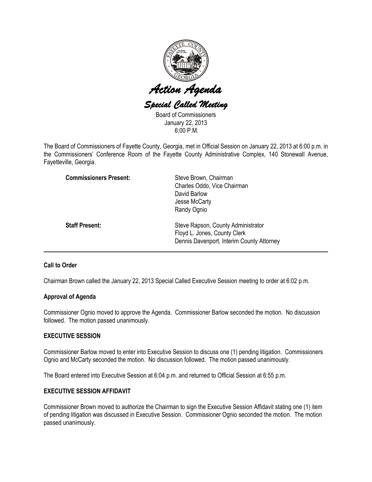

Board of Commissioners January 22, 2013  $6.00 P M$ 

The Board of Commissioners of Fayette County, Georgia, met in Official Session on January 22, 2013 at 6:00 p.m. in the Commissioners' Conference Room of the Fayette County Administrative Complex, 140 Stonewall Avenue, Fayetteville, Georgia.

| <b>Commissioners Present:</b> | Steve Brown, Chairman<br>Charles Oddo, Vice Chairman<br>David Barlow<br>Jesse McCarty<br>Randy Ognio            |
|-------------------------------|-----------------------------------------------------------------------------------------------------------------|
| <b>Staff Present:</b>         | Steve Rapson, County Administrator<br>Floyd L. Jones, County Clerk<br>Dennis Davenport, Interim County Attorney |

# Call to Order

Chairman Brown called the January 22, 2013 Special Called Executive Session meeting to order at 6:02 p.m.

# Approval of Agenda

Commissioner Ognio moved to approve the Agenda. Commissioner Barlow seconded the motion. No discussion followed. The motion passed unanimously.

# EXECUTIVE SESSION

Commissioner Barlow moved to enter into Executive Session to discuss one (1) pending litigation. Commissioners Ognio and McCarty seconded the motion. No discussion followed. The motion passed unanimously.

The Board entered into Executive Session at 6:04 p.m. and returned to Official Session at 6:55 p.m.

# EXECUTIVE SESSION AFFIDAVIT

Commissioner Brown moved to authorize the Chairman to sign the Executive Session Affidavit stating one (1) item of pending litigation was discussed in Executive Session. Commissioner Ognio seconded the motion. The motion passed unanimously.